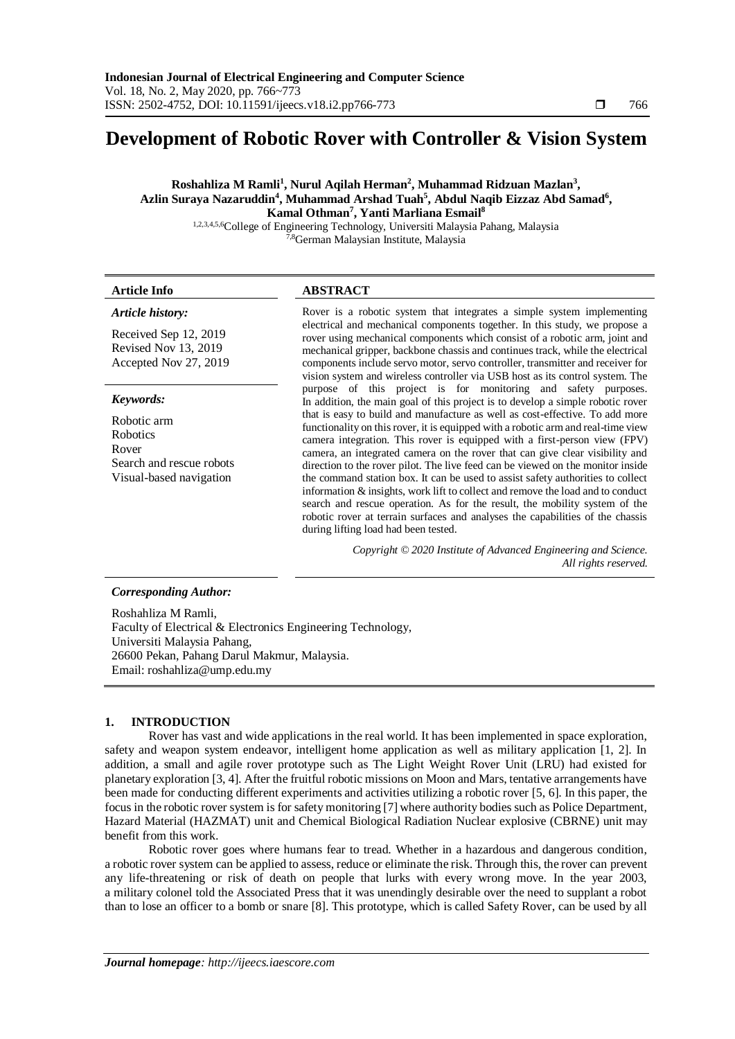## **Development of Robotic Rover with Controller & Vision System**

#### **Roshahliza M Ramli<sup>1</sup> , Nurul Aqilah Herman<sup>2</sup> , Muhammad Ridzuan Mazlan<sup>3</sup> ,**  Azlin Suraya Nazaruddin<sup>4</sup>, Muhammad Arshad Tuah<sup>5</sup>, Abdul Naqib Eizzaz Abd Samad<sup>6</sup>, **Kamal Othman<sup>7</sup> , Yanti Marliana Esmail<sup>8</sup>**

1,2,3,4,5,6College of Engineering Technology, Universiti Malaysia Pahang, Malaysia <sup>7,8</sup>German Malaysian Institute, Malaysia

### **Article Info ABSTRACT**

# *Article history:*

Received Sep 12, 2019 Revised Nov 13, 2019 Accepted Nov 27, 2019

#### *Keywords:*

Robotic arm Robotics Rover Search and rescue robots Visual-based navigation

Rover is a robotic system that integrates a simple system implementing electrical and mechanical components together. In this study, we propose a rover using mechanical components which consist of a robotic arm, joint and mechanical gripper, backbone chassis and continues track, while the electrical components include servo motor, servo controller, transmitter and receiver for vision system and wireless controller via USB host as its control system. The purpose of this project is for monitoring and safety purposes. In addition, the main goal of this project is to develop a simple robotic rover that is easy to build and manufacture as well as cost-effective. To add more functionality on this rover, it is equipped with a robotic arm and real-time view camera integration. This rover is equipped with a first-person view (FPV) camera, an integrated camera on the rover that can give clear visibility and direction to the rover pilot. The live feed can be viewed on the monitor inside the command station box. It can be used to assist safety authorities to collect information & insights, work lift to collect and remove the load and to conduct search and rescue operation. As for the result, the mobility system of the robotic rover at terrain surfaces and analyses the capabilities of the chassis during lifting load had been tested.

> *Copyright © 2020 Institute of Advanced Engineering and Science. All rights reserved.*

#### *Corresponding Author:*

Roshahliza M Ramli, Faculty of Electrical & Electronics Engineering Technology, Universiti Malaysia Pahang, 26600 Pekan, Pahang Darul Makmur, Malaysia. Email: roshahliza@ump.edu.my

#### **1. INTRODUCTION**

Rover has vast and wide applications in the real world. It has been implemented in space exploration, safety and weapon system endeavor, intelligent home application as well as military application [1, 2]. In addition, a small and agile rover prototype such as The Light Weight Rover Unit (LRU) had existed for planetary exploration [3, 4]. After the fruitful robotic missions on Moon and Mars, tentative arrangements have been made for conducting different experiments and activities utilizing a robotic rover [5, 6]. In this paper, the focus in the robotic rover system is for safety monitoring [7] where authority bodies such as Police Department, Hazard Material (HAZMAT) unit and Chemical Biological Radiation Nuclear explosive (CBRNE) unit may benefit from this work.

Robotic rover goes where humans fear to tread. Whether in a hazardous and dangerous condition, a robotic rover system can be applied to assess, reduce or eliminate the risk. Through this, the rover can prevent any life-threatening or risk of death on people that lurks with every wrong move. In the year 2003, a military colonel told the Associated Press that it was unendingly desirable over the need to supplant a robot than to lose an officer to a bomb or snare [8]. This prototype, which is called Safety Rover, can be used by all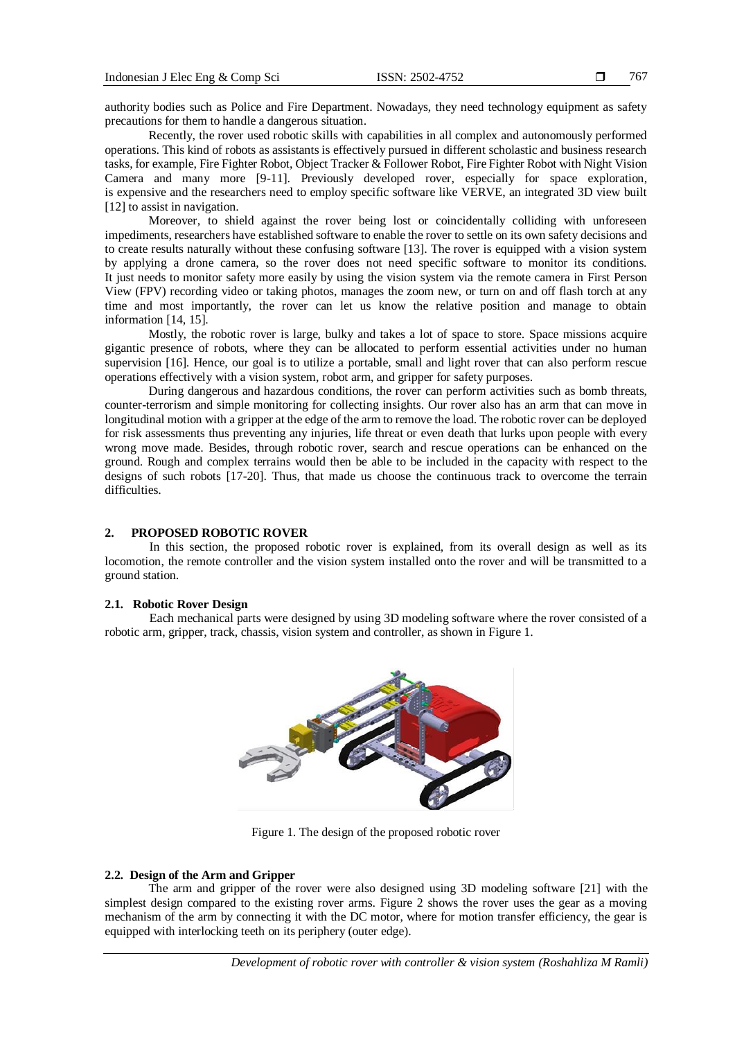authority bodies such as Police and Fire Department. Nowadays, they need technology equipment as safety precautions for them to handle a dangerous situation.

Recently, the rover used robotic skills with capabilities in all complex and autonomously performed operations. This kind of robots as assistants is effectively pursued in different scholastic and business research tasks, for example, Fire Fighter Robot, Object Tracker & Follower Robot, Fire Fighter Robot with Night Vision Camera and many more [9-11]. Previously developed rover, especially for space exploration, is expensive and the researchers need to employ specific software like VERVE, an integrated 3D view built [12] to assist in navigation.

Moreover, to shield against the rover being lost or coincidentally colliding with unforeseen impediments, researchers have established software to enable the rover to settle on its own safety decisions and to create results naturally without these confusing software [13]. The rover is equipped with a vision system by applying a drone camera, so the rover does not need specific software to monitor its conditions. It just needs to monitor safety more easily by using the vision system via the remote camera in First Person View (FPV) recording video or taking photos, manages the zoom new, or turn on and off flash torch at any time and most importantly, the rover can let us know the relative position and manage to obtain information [14, 15].

Mostly, the robotic rover is large, bulky and takes a lot of space to store. Space missions acquire gigantic presence of robots, where they can be allocated to perform essential activities under no human supervision [16]. Hence, our goal is to utilize a portable, small and light rover that can also perform rescue operations effectively with a vision system, robot arm, and gripper for safety purposes.

During dangerous and hazardous conditions, the rover can perform activities such as bomb threats, counter-terrorism and simple monitoring for collecting insights. Our rover also has an arm that can move in longitudinal motion with a gripper at the edge of the arm to remove the load. The robotic rover can be deployed for risk assessments thus preventing any injuries, life threat or even death that lurks upon people with every wrong move made. Besides, through robotic rover, search and rescue operations can be enhanced on the ground. Rough and complex terrains would then be able to be included in the capacity with respect to the designs of such robots [17-20]. Thus, that made us choose the continuous track to overcome the terrain difficulties.

#### **2. PROPOSED ROBOTIC ROVER**

In this section, the proposed robotic rover is explained, from its overall design as well as its locomotion, the remote controller and the vision system installed onto the rover and will be transmitted to a ground station.

#### **2.1. Robotic Rover Design**

Each mechanical parts were designed by using 3D modeling software where the rover consisted of a robotic arm, gripper, track, chassis, vision system and controller, as shown in Figure 1.



Figure 1. The design of the proposed robotic rover

#### **2.2. Design of the Arm and Gripper**

The arm and gripper of the rover were also designed using 3D modeling software [21] with the simplest design compared to the existing rover arms. Figure 2 shows the rover uses the gear as a moving mechanism of the arm by connecting it with the DC motor, where for motion transfer efficiency, the gear is equipped with interlocking teeth on its periphery (outer edge).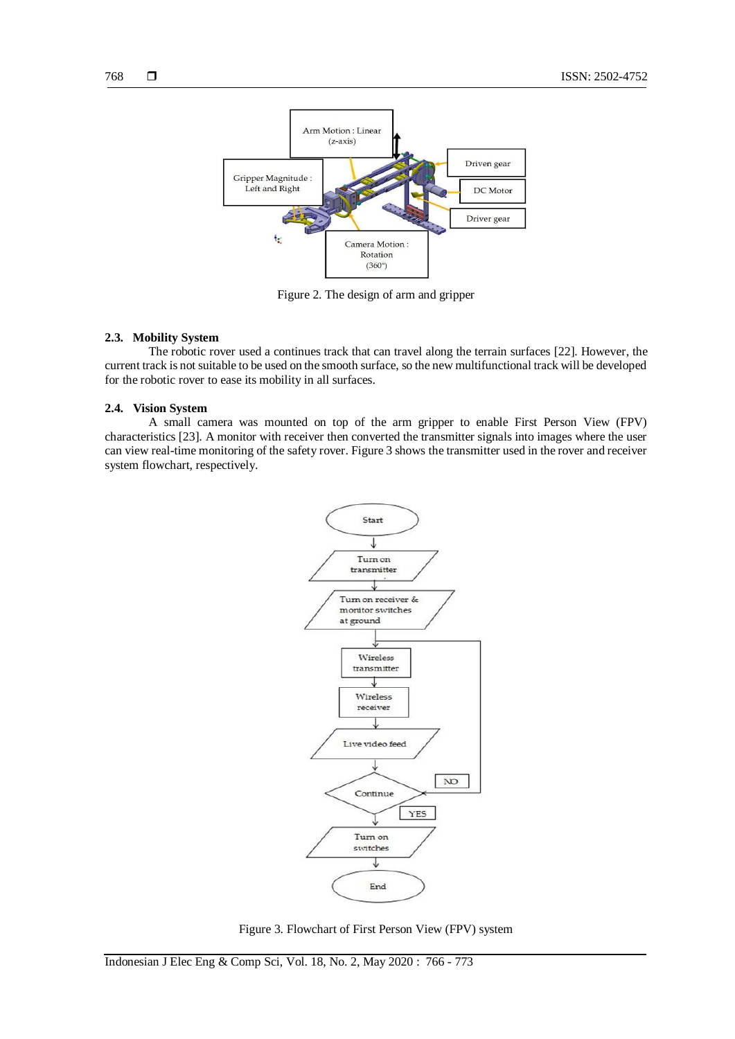

Figure 2. The design of arm and gripper

#### **2.3. Mobility System**

The robotic rover used a continues track that can travel along the terrain surfaces [22]. However, the current track is not suitable to be used on the smooth surface, so the new multifunctional track will be developed for the robotic rover to ease its mobility in all surfaces.

#### **2.4. Vision System**

A small camera was mounted on top of the arm gripper to enable First Person View (FPV) characteristics [23]. A monitor with receiver then converted the transmitter signals into images where the user can view real-time monitoring of the safety rover. Figure 3 shows the transmitter used in the rover and receiver system flowchart, respectively.



Figure 3. Flowchart of First Person View (FPV) system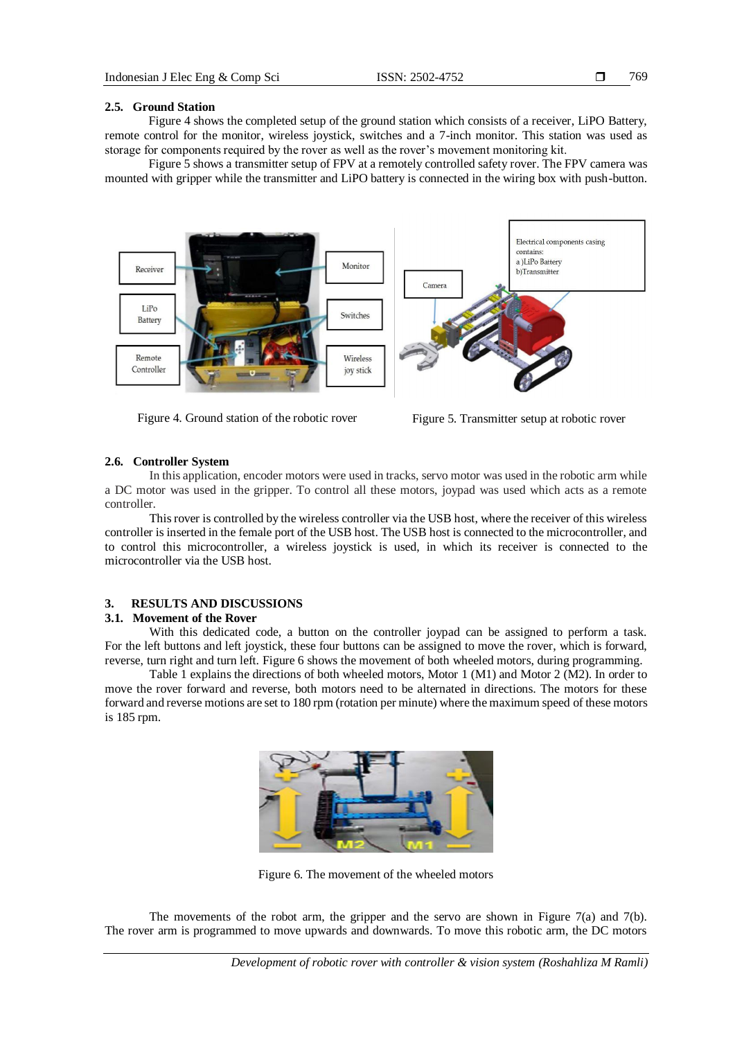769

#### **2.5. Ground Station**

Figure 4 shows the completed setup of the ground station which consists of a receiver, LiPO Battery, remote control for the monitor, wireless joystick, switches and a 7-inch monitor. This station was used as storage for components required by the rover as well as the rover's movement monitoring kit.

Figure 5 shows a transmitter setup of FPV at a remotely controlled safety rover. The FPV camera was mounted with gripper while the transmitter and LiPO battery is connected in the wiring box with push-button.



Figure 4. Ground station of the robotic rover Figure 5. Transmitter setup at robotic rover

#### **2.6. Controller System**

In this application, encoder motors were used in tracks, servo motor was used in the robotic arm while a DC motor was used in the gripper. To control all these motors, joypad was used which acts as a remote controller.

This rover is controlled by the wireless controller via the USB host, where the receiver of this wireless controller is inserted in the female port of the USB host. The USB host is connected to the microcontroller, and to control this microcontroller, a wireless joystick is used, in which its receiver is connected to the microcontroller via the USB host.

#### **3. RESULTS AND DISCUSSIONS**

### **3.1. Movement of the Rover**

With this dedicated code, a button on the controller joypad can be assigned to perform a task. For the left buttons and left joystick, these four buttons can be assigned to move the rover, which is forward, reverse, turn right and turn left. Figure 6 shows the movement of both wheeled motors, during programming.

Table 1 explains the directions of both wheeled motors, Motor 1 (M1) and Motor 2 (M2). In order to move the rover forward and reverse, both motors need to be alternated in directions. The motors for these forward and reverse motions are set to 180 rpm (rotation per minute) where the maximum speed of these motors is 185 rpm.



Figure 6. The movement of the wheeled motors

The movements of the robot arm, the gripper and the servo are shown in Figure 7(a) and 7(b). The rover arm is programmed to move upwards and downwards. To move this robotic arm, the DC motors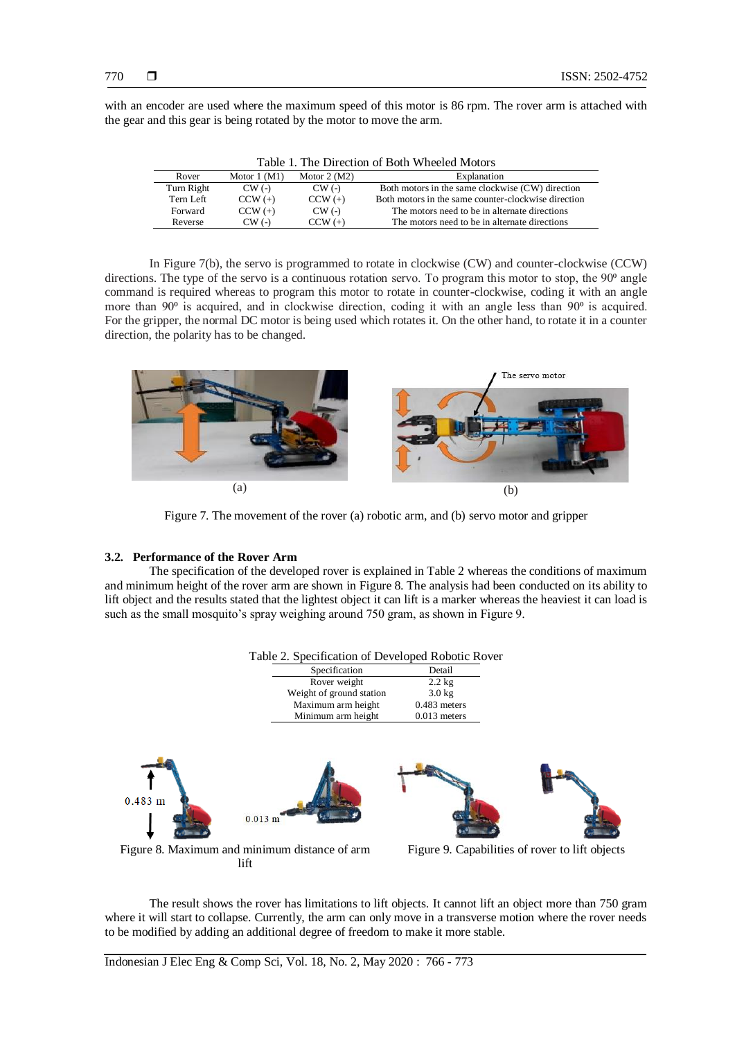with an encoder are used where the maximum speed of this motor is 86 rpm. The rover arm is attached with the gear and this gear is being rotated by the motor to move the arm.

| Table 1. The Direction of Both Wheeled Motors |               |               |                                                     |
|-----------------------------------------------|---------------|---------------|-----------------------------------------------------|
| Rover                                         | Motor $1(M1)$ | Motor $2(M2)$ | Explanation                                         |
| Turn Right                                    | $CW$ (-)      | $CW$ (-)      | Both motors in the same clockwise (CW) direction    |
| Tern Left                                     | $CCW (+)$     | $CCW (+)$     | Both motors in the same counter-clockwise direction |
| Forward                                       | $CCW (+)$     | $CW$ (-)      | The motors need to be in alternate directions       |
| Reverse                                       | $CW$ (-)      | $CCW (+)$     | The motors need to be in alternate directions       |

In Figure 7(b), the servo is programmed to rotate in clockwise (CW) and counter-clockwise (CCW) directions. The type of the servo is a continuous rotation servo. To program this motor to stop, the  $90<sup>o</sup>$  angle command is required whereas to program this motor to rotate in counter-clockwise, coding it with an angle more than 90<sup>°</sup> is acquired, and in clockwise direction, coding it with an angle less than 90<sup>°</sup> is acquired. For the gripper, the normal DC motor is being used which rotates it. On the other hand, to rotate it in a counter direction, the polarity has to be changed.



Figure 7. The movement of the rover (a) robotic arm, and (b) servo motor and gripper

#### **3.2. Performance of the Rover Arm**

The specification of the developed rover is explained in Table 2 whereas the conditions of maximum and minimum height of the rover arm are shown in Figure 8. The analysis had been conducted on its ability to lift object and the results stated that the lightest object it can lift is a marker whereas the heaviest it can load is such as the small mosquito's spray weighing around 750 gram, as shown in Figure 9.



The result shows the rover has limitations to lift objects. It cannot lift an object more than 750 gram where it will start to collapse. Currently, the arm can only move in a transverse motion where the rover needs to be modified by adding an additional degree of freedom to make it more stable.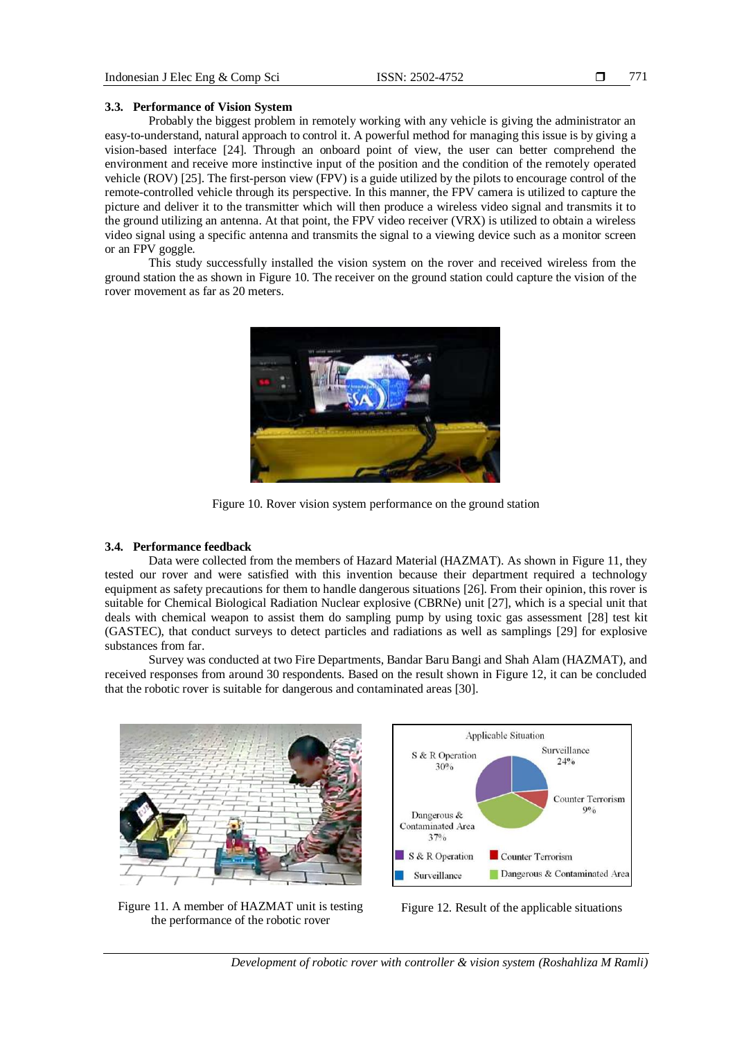771

#### **3.3. Performance of Vision System**

Probably the biggest problem in remotely working with any vehicle is giving the administrator an easy-to-understand, natural approach to control it. A powerful method for managing this issue is by giving a vision-based interface [24]. Through an onboard point of view, the user can better comprehend the environment and receive more instinctive input of the position and the condition of the remotely operated vehicle (ROV) [25]. The first-person view (FPV) is a guide utilized by the pilots to encourage control of the remote-controlled vehicle through its perspective. In this manner, the FPV camera is utilized to capture the picture and deliver it to the transmitter which will then produce a wireless video signal and transmits it to the ground utilizing an antenna. At that point, the FPV video receiver (VRX) is utilized to obtain a wireless video signal using a specific antenna and transmits the signal to a viewing device such as a monitor screen or an FPV goggle.

This study successfully installed the vision system on the rover and received wireless from the ground station the as shown in Figure 10. The receiver on the ground station could capture the vision of the rover movement as far as 20 meters.



Figure 10. Rover vision system performance on the ground station

#### **3.4. Performance feedback**

Data were collected from the members of Hazard Material (HAZMAT). As shown in Figure 11, they tested our rover and were satisfied with this invention because their department required a technology equipment as safety precautions for them to handle dangerous situations [26]. From their opinion, this rover is suitable for Chemical Biological Radiation Nuclear explosive (CBRNe) unit [27], which is a special unit that deals with chemical weapon to assist them do sampling pump by using toxic gas assessment [28] test kit (GASTEC), that conduct surveys to detect particles and radiations as well as samplings [29] for explosive substances from far.

Survey was conducted at two Fire Departments, Bandar Baru Bangi and Shah Alam (HAZMAT), and received responses from around 30 respondents. Based on the result shown in Figure 12, it can be concluded that the robotic rover is suitable for dangerous and contaminated areas [30].



**Applicable Situation** Surveillance S & R Operation  $24\%$  $30%$ **Counter Terrorism**  $90<sub>0</sub>$ Dangerous & Contaminated Area  $37°<sub>o</sub>$ S & R Operation Counter Terrorism Dangerous & Contaminated Area Surveillance

Figure 11. A member of HAZMAT unit is testing the performance of the robotic rover

Figure 12. Result of the applicable situations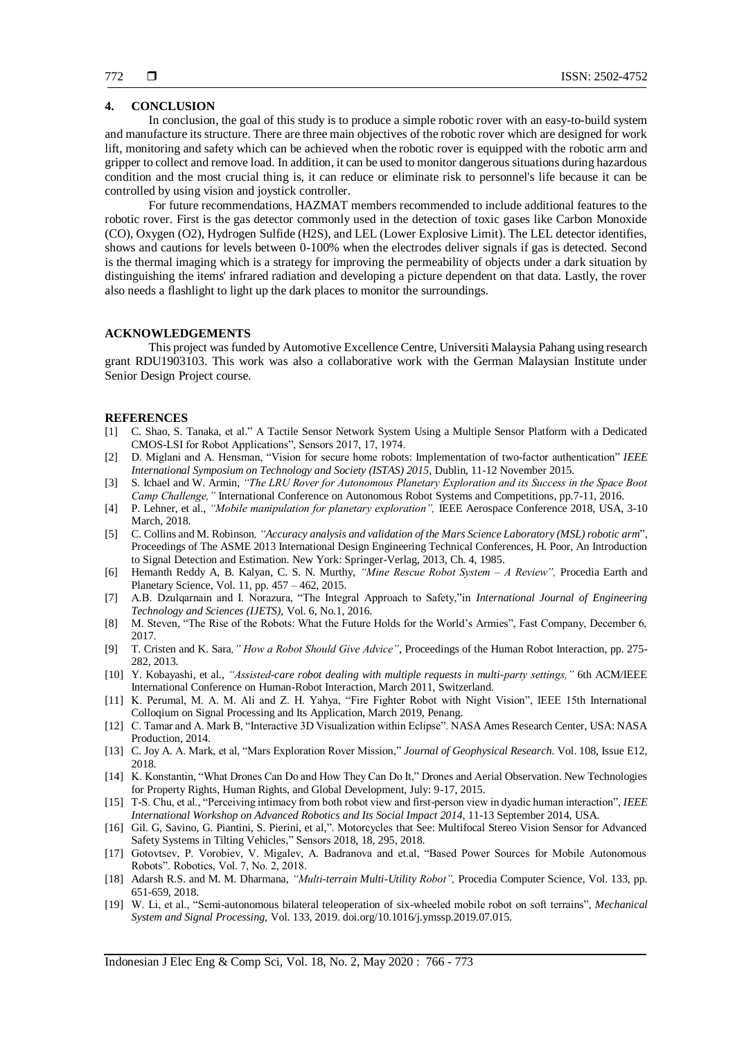#### **4. CONCLUSION**

In conclusion, the goal of this study is to produce a simple robotic rover with an easy-to-build system and manufacture its structure. There are three main objectives of the robotic rover which are designed for work lift, monitoring and safety which can be achieved when the robotic rover is equipped with the robotic arm and gripper to collect and remove load. In addition, it can be used to monitor dangerous situations during hazardous condition and the most crucial thing is, it can reduce or eliminate risk to personnel's life because it can be controlled by using vision and joystick controller.

For future recommendations, HAZMAT members recommended to include additional features to the robotic rover. First is the gas detector commonly used in the detection of toxic gases like Carbon Monoxide (CO), Oxygen (O2), Hydrogen Sulfide (H2S), and LEL (Lower Explosive Limit). The LEL detector identifies, shows and cautions for levels between 0-100% when the electrodes deliver signals if gas is detected. Second is the thermal imaging which is a strategy for improving the permeability of objects under a dark situation by distinguishing the items' infrared radiation and developing a picture dependent on that data. Lastly, the rover also needs a flashlight to light up the dark places to monitor the surroundings.

#### **ACKNOWLEDGEMENTS**

This project was funded by Automotive Excellence Centre, Universiti Malaysia Pahang using research grant RDU1903103. This work was also a collaborative work with the German Malaysian Institute under Senior Design Project course.

#### **REFERENCES**

- [1] C. Shao, S. Tanaka, et al." A Tactile Sensor Network System Using a Multiple Sensor Platform with a Dedicated CMOS-LSI for Robot Applications", Sensors 2017, 17, 1974.
- [2] D. Miglani and A. Hensman, "Vision for secure home robots: Implementation of two-factor authentication" *IEEE International Symposium on Technology and Society (ISTAS) 2015*, Dublin, 11-12 November 2015.
- [3] S. Ichael and W. Armin, *"The LRU Rover for Autonomous Planetary Exploration and its Success in the Space Boot Camp Challenge,"* International Conference on Autonomous Robot Systems and Competitions, pp.7-11, 2016.
- [4] P. Lehner, et al., *"Mobile manipulation for planetary exploration",* IEEE Aerospace Conference 2018, USA, 3-10 March, 2018.
- [5] C. Collins and M. Robinson*, "Accuracy analysis and validation of the Mars Science Laboratory (MSL) robotic arm*", Proceedings of The ASME 2013 International Design Engineering Technical Conferences, H. Poor, An Introduction to Signal Detection and Estimation. New York: Springer-Verlag, 2013, Ch. 4, 1985.
- [6] Hemanth Reddy A, B. Kalyan, C. S. N. Murthy, *"Mine Rescue Robot System – A Review",* Procedia Earth and Planetary Science, Vol. 11, pp. 457 – 462, 2015.
- [7] A.B. Dzulqarnain and I. Norazura, "The Integral Approach to Safety,"in *International Journal of Engineering Technology and Sciences (IJETS),* Vol. 6, No.1, 2016.
- [8] M. Steven, "The Rise of the Robots: What the Future Holds for the World's Armies", Fast Company, December 6, 2017.
- [9] T. Cristen and K. Sara*," How a Robot Should Give Advice"*, Proceedings of the Human Robot Interaction, pp. 275- 282, 2013.
- [10] Y. Kobayashi, et al., *"Assisted-care robot dealing with multiple requests in multi-party settings,"* 6th ACM/IEEE International Conference on Human-Robot Interaction, March 2011, Switzerland.
- [11] K. Perumal, M. A. M. Ali and Z. H. Yahya, "Fire Fighter Robot with Night Vision", IEEE 15th International Colloqium on Signal Processing and Its Application, March 2019, Penang.
- [12] C. Tamar and A. Mark B, "Interactive 3D Visualization within Eclipse". NASA Ames Research Center, USA: NASA Production, 2014.
- [13] C. Joy A. A. Mark, et al, "Mars Exploration Rover Mission," *Journal of Geophysical Research*. Vol. 108, Issue E12, 2018.
- [14] K. Konstantin, "What Drones Can Do and How They Can Do It," Drones and Aerial Observation. New Technologies for Property Rights, Human Rights, and Global Development, July: 9-17, 2015.
- [15] T-S. Chu, et al., "Perceiving intimacy from both robot view and first-person view in dyadic human interaction", *IEEE International Workshop on Advanced Robotics and Its Social Impact 2014*, 11-13 September 2014, USA.
- [16] Gil. G, Savino, G. Piantini, S. Pierini, et al,". Motorcycles that See: Multifocal Stereo Vision Sensor for Advanced Safety Systems in Tilting Vehicles," Sensors 2018, 18, 295, 2018.
- [17] Gotovtsev, P. Vorobiev, V. Migalev, A. Badranova and et.al, "Based Power Sources for Mobile Autonomous Robots". Robotics, Vol. 7, No. 2, 2018.
- [18] Adarsh R.S. and M. M. Dharmana, *"Multi-terrain Multi-Utility Robot",* Procedia Computer Science, Vol. 133, pp. 651-659, 2018.
- [19] W. Li, et al., "Semi-autonomous bilateral teleoperation of six-wheeled mobile robot on soft terrains", *Mechanical System and Signal Processing,* Vol. 133, 2019. doi.org/10.1016/j.ymssp.2019.07.015.